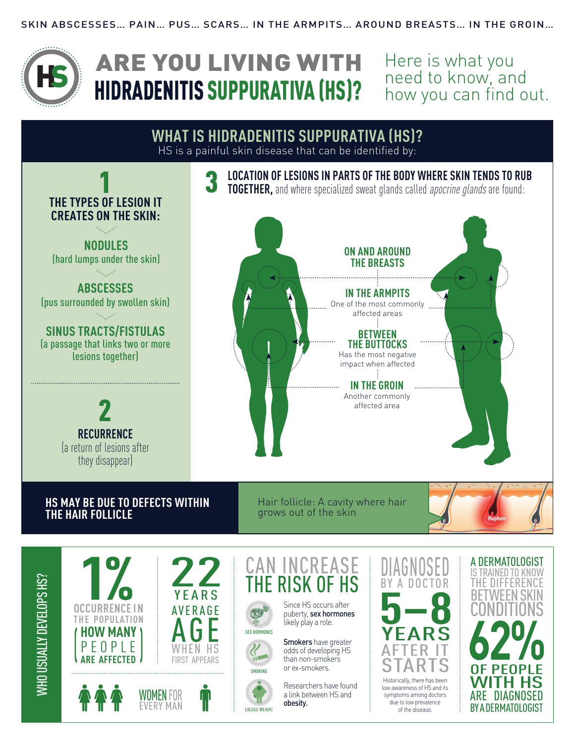

Here is what you need to know, and how you can find out.



WHO USUALLY DEVELOPS HS? **WHO USUALLY DEVELOPS HS?** 











Since HS occurs after puberty, sex hormones likely play a role.

Smokers have greater odds of developing HS than non-smokers or ex-smokers.

Researchers have found a link between HS and obesity.